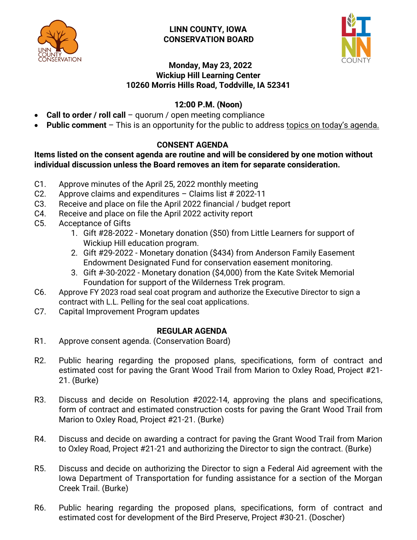

### **LINN COUNTY, IOWA CONSERVATION BOARD**



### **Monday, May 23, 2022 Wickiup Hill Learning Center 10260 Morris Hills Road, Toddville, IA 52341**

# **12:00 P.M. (Noon)**

- **Call to order / roll call** quorum / open meeting compliance
- **Public comment**  This is an opportunity for the public to address topics on today's agenda.

## **CONSENT AGENDA**

### **Items listed on the consent agenda are routine and will be considered by one motion without individual discussion unless the Board removes an item for separate consideration.**

- C1. Approve minutes of the April 25, 2022 monthly meeting
- C2. Approve claims and expenditures Claims list # 2022-11
- C3. Receive and place on file the April 2022 financial / budget report
- C4. Receive and place on file the April 2022 activity report
- C5. Acceptance of Gifts
	- 1. Gift #28-2022 Monetary donation (\$50) from Little Learners for support of Wickiup Hill education program.
	- 2. Gift #29-2022 Monetary donation (\$434) from Anderson Family Easement Endowment Designated Fund for conservation easement monitoring.
	- 3. Gift #-30-2022 Monetary donation (\$4,000) from the Kate Svitek Memorial Foundation for support of the Wilderness Trek program.
- C6. Approve FY 2023 road seal coat program and authorize the Executive Director to sign a contract with L.L. Pelling for the seal coat applications.
- C7. Capital Improvement Program updates

## **REGULAR AGENDA**

- R1. Approve consent agenda. (Conservation Board)
- R2. Public hearing regarding the proposed plans, specifications, form of contract and estimated cost for paving the Grant Wood Trail from Marion to Oxley Road, Project #21- 21. (Burke)
- R3. Discuss and decide on Resolution #2022-14, approving the plans and specifications, form of contract and estimated construction costs for paving the Grant Wood Trail from Marion to Oxley Road, Project #21-21. (Burke)
- R4. Discuss and decide on awarding a contract for paving the Grant Wood Trail from Marion to Oxley Road, Project #21-21 and authorizing the Director to sign the contract. (Burke)
- R5. Discuss and decide on authorizing the Director to sign a Federal Aid agreement with the Iowa Department of Transportation for funding assistance for a section of the Morgan Creek Trail. (Burke)
- R6. Public hearing regarding the proposed plans, specifications, form of contract and estimated cost for development of the Bird Preserve, Project #30-21. (Doscher)